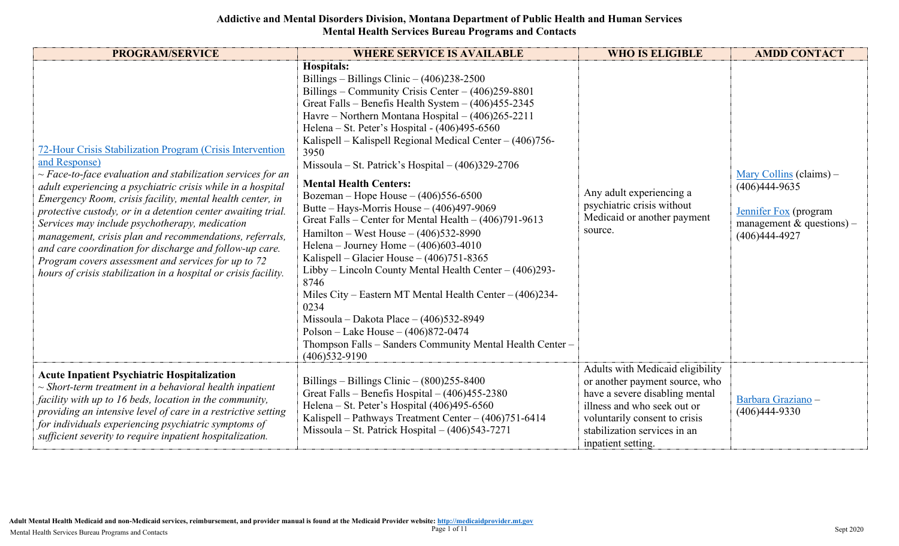| <b>PROGRAM/SERVICE</b>                                                                                                                                                                                                                                                                                                                                                                                                                                                                                                                                                                                                                       | <b>WHERE SERVICE IS AVAILABLE</b>                                                                                                                                                                                                                                                                                                                                                                                                                                                                                                                                                                                                                                                                                                                                                                                                                                                                                                                                                                                                                         | <b>WHO IS ELIGIBLE</b>                                                                                                                                                                                                     | <b>AMDD CONTACT</b>                                                                                                 |
|----------------------------------------------------------------------------------------------------------------------------------------------------------------------------------------------------------------------------------------------------------------------------------------------------------------------------------------------------------------------------------------------------------------------------------------------------------------------------------------------------------------------------------------------------------------------------------------------------------------------------------------------|-----------------------------------------------------------------------------------------------------------------------------------------------------------------------------------------------------------------------------------------------------------------------------------------------------------------------------------------------------------------------------------------------------------------------------------------------------------------------------------------------------------------------------------------------------------------------------------------------------------------------------------------------------------------------------------------------------------------------------------------------------------------------------------------------------------------------------------------------------------------------------------------------------------------------------------------------------------------------------------------------------------------------------------------------------------|----------------------------------------------------------------------------------------------------------------------------------------------------------------------------------------------------------------------------|---------------------------------------------------------------------------------------------------------------------|
| 72-Hour Crisis Stabilization Program (Crisis Intervention<br>and Response)<br>$\sim$ Face-to-face evaluation and stabilization services for an<br>adult experiencing a psychiatric crisis while in a hospital<br>Emergency Room, crisis facility, mental health center, in<br>protective custody, or in a detention center awaiting trial.<br>Services may include psychotherapy, medication<br>management, crisis plan and recommendations, referrals,<br>and care coordination for discharge and follow-up care.<br>Program covers assessment and services for up to 72<br>hours of crisis stabilization in a hospital or crisis facility. | Hospitals:<br>Billings – Billings Clinic – $(406)238-2500$<br>Billings – Community Crisis Center – $(406)259-8801$<br>Great Falls – Benefis Health System – $(406)455-2345$<br>Havre – Northern Montana Hospital – (406)265-2211<br>Helena - St. Peter's Hospital - (406)495-6560<br>Kalispell – Kalispell Regional Medical Center – (406)756-<br>3950<br>Missoula – St. Patrick's Hospital – $(406)329-2706$<br><b>Mental Health Centers:</b><br>Bozeman – Hope House – $(406)556-6500$<br>Butte – Hays-Morris House – $(406)497-9069$<br>Great Falls – Center for Mental Health – $(406)791-9613$<br>Hamilton – West House – $(406)532-8990$<br>Helena – Journey Home – $(406)603-4010$<br>Kalispell – Glacier House – $(406)751-8365$<br>Libby – Lincoln County Mental Health Center – $(406)293$ -<br>8746<br>Miles City - Eastern MT Mental Health Center - (406)234-<br>0234<br>Missoula - Dakota Place - (406)532-8949<br>Polson – Lake House – $(406)872 - 0474$<br>Thompson Falls - Sanders Community Mental Health Center -<br>$(406)$ 532-9190 | Any adult experiencing a<br>psychiatric crisis without<br>Medicaid or another payment<br>source.                                                                                                                           | Mary Collins (claims) –<br>$(406)444-9635$<br>Jennifer Fox (program<br>management & questions) –<br>$(406)444-4927$ |
| <b>Acute Inpatient Psychiatric Hospitalization</b><br>$\sim$ Short-term treatment in a behavioral health inpatient<br>facility with up to 16 beds, location in the community,<br>providing an intensive level of care in a restrictive setting<br>for individuals experiencing psychiatric symptoms of<br>sufficient severity to require inpatient hospitalization.                                                                                                                                                                                                                                                                          | Billings – Billings Clinic – $(800)255-8400$<br>Great Falls - Benefis Hospital $- (406)455-2380$<br>Helena - St. Peter's Hospital (406)495-6560<br>Kalispell - Pathways Treatment Center - (406)751-6414<br>Missoula – St. Patrick Hospital – $(406)543-7271$                                                                                                                                                                                                                                                                                                                                                                                                                                                                                                                                                                                                                                                                                                                                                                                             | Adults with Medicaid eligibility<br>or another payment source, who<br>have a severe disabling mental<br>illness and who seek out or<br>voluntarily consent to crisis<br>stabilization services in an<br>inpatient setting. | Barbara Graziano -<br>$(406)444-9330$                                                                               |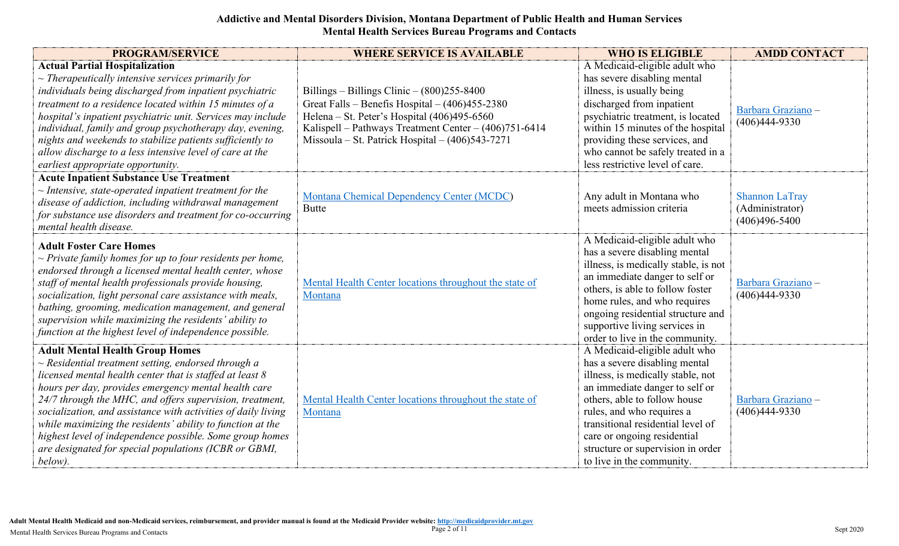| <b>PROGRAM/SERVICE</b>                                                                                                                                                                                                                                                                                                                                                                                                                                                                                                                              | <b>WHERE SERVICE IS AVAILABLE</b>                                                                                                                                                                                                                           | <b>WHO IS ELIGIBLE</b>                                                                                                                                                                                                                                                                                                                   | <b>AMDD CONTACT</b>                                           |
|-----------------------------------------------------------------------------------------------------------------------------------------------------------------------------------------------------------------------------------------------------------------------------------------------------------------------------------------------------------------------------------------------------------------------------------------------------------------------------------------------------------------------------------------------------|-------------------------------------------------------------------------------------------------------------------------------------------------------------------------------------------------------------------------------------------------------------|------------------------------------------------------------------------------------------------------------------------------------------------------------------------------------------------------------------------------------------------------------------------------------------------------------------------------------------|---------------------------------------------------------------|
| <b>Actual Partial Hospitalization</b><br>$\sim$ Therapeutically intensive services primarily for<br>individuals being discharged from inpatient psychiatric<br>treatment to a residence located within 15 minutes of a<br>hospital's inpatient psychiatric unit. Services may include<br>individual, family and group psychotherapy day, evening,<br>nights and weekends to stabilize patients sufficiently to<br>allow discharge to a less intensive level of care at the<br>earliest appropriate opportunity.                                     | Billings – Billings Clinic – $(800)255-8400$<br>Great Falls - Benefis Hospital - (406)455-2380<br>Helena - St. Peter's Hospital (406)495-6560<br>Kalispell - Pathways Treatment Center - (406)751-6414<br>Missoula – St. Patrick Hospital – $(406)543-7271$ | A Medicaid-eligible adult who<br>has severe disabling mental<br>illness, is usually being<br>discharged from inpatient<br>psychiatric treatment, is located<br>within 15 minutes of the hospital<br>providing these services, and<br>who cannot be safely treated in a<br>less restrictive level of care.                                | Barbara Graziano -<br>$(406)444-9330$                         |
| <b>Acute Inpatient Substance Use Treatment</b><br>$\sim$ Intensive, state-operated inpatient treatment for the<br>disease of addiction, including withdrawal management<br>for substance use disorders and treatment for co-occurring<br>mental health disease.                                                                                                                                                                                                                                                                                     | Montana Chemical Dependency Center (MCDC)<br><b>Butte</b>                                                                                                                                                                                                   | Any adult in Montana who<br>meets admission criteria                                                                                                                                                                                                                                                                                     | <b>Shannon LaTray</b><br>(Administrator)<br>$(406)496 - 5400$ |
| <b>Adult Foster Care Homes</b><br>$\sim$ Private family homes for up to four residents per home,<br>endorsed through a licensed mental health center, whose<br>staff of mental health professionals provide housing,<br>socialization, light personal care assistance with meals,<br>bathing, grooming, medication management, and general<br>supervision while maximizing the residents' ability to<br>function at the highest level of independence possible.                                                                                     | Mental Health Center locations throughout the state of<br>Montana                                                                                                                                                                                           | A Medicaid-eligible adult who<br>has a severe disabling mental<br>illness, is medically stable, is not<br>an immediate danger to self or<br>others, is able to follow foster<br>home rules, and who requires<br>ongoing residential structure and<br>supportive living services in<br>order to live in the community.                    | Barbara Graziano -<br>$(406)444-9330$                         |
| <b>Adult Mental Health Group Homes</b><br>$\sim$ Residential treatment setting, endorsed through a<br>licensed mental health center that is staffed at least $8$<br>hours per day, provides emergency mental health care<br>24/7 through the MHC, and offers supervision, treatment,<br>socialization, and assistance with activities of daily living<br>while maximizing the residents' ability to function at the<br>highest level of independence possible. Some group homes<br>are designated for special populations (ICBR or GBMI,<br>below). | Mental Health Center locations throughout the state of<br>Montana                                                                                                                                                                                           | A Medicaid-eligible adult who<br>has a severe disabling mental<br>illness, is medically stable, not<br>an immediate danger to self or<br>others, able to follow house<br>rules, and who requires a<br>transitional residential level of<br>care or ongoing residential<br>structure or supervision in order<br>to live in the community. | Barbara Graziano -<br>$(406)444-9330$                         |

**Adult Mental Health Medicaid and non-Medicaid services, reimbursement, and provider manual is found at the Medicaid Provider website[: http://medicaidprovider.mt.gov](http://medicaidprovider.mt.gov/)<br>Mental Health Services Bureau Programs and Contacts**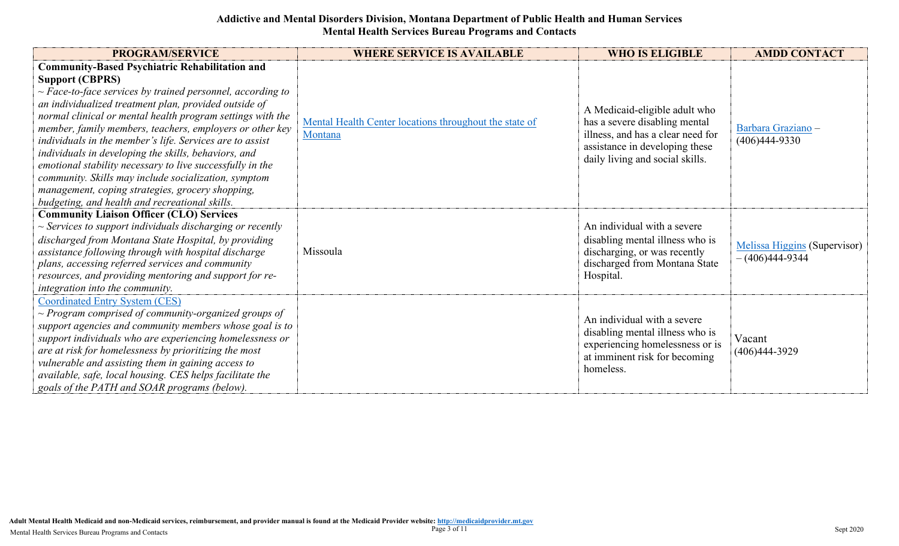| <b>PROGRAM/SERVICE</b>                                                                                                                                                                                                                                                                                                                                                                                                                                                                                                                                                                                                                                                               | <b>WHERE SERVICE IS AVAILABLE</b>                                 | <b>WHO IS ELIGIBLE</b>                                                                                                                                                   | <b>AMDD CONTACT</b>                              |
|--------------------------------------------------------------------------------------------------------------------------------------------------------------------------------------------------------------------------------------------------------------------------------------------------------------------------------------------------------------------------------------------------------------------------------------------------------------------------------------------------------------------------------------------------------------------------------------------------------------------------------------------------------------------------------------|-------------------------------------------------------------------|--------------------------------------------------------------------------------------------------------------------------------------------------------------------------|--------------------------------------------------|
| <b>Community-Based Psychiatric Rehabilitation and</b><br><b>Support (CBPRS)</b><br>$\sim$ Face-to-face services by trained personnel, according to<br>an individualized treatment plan, provided outside of<br>normal clinical or mental health program settings with the<br>member, family members, teachers, employers or other key<br>individuals in the member's life. Services are to assist<br>individuals in developing the skills, behaviors, and<br>emotional stability necessary to live successfully in the<br>community. Skills may include socialization, symptom<br>management, coping strategies, grocery shopping,<br>budgeting, and health and recreational skills. | Mental Health Center locations throughout the state of<br>Montana | A Medicaid-eligible adult who<br>has a severe disabling mental<br>illness, and has a clear need for<br>assistance in developing these<br>daily living and social skills. | Barbara Graziano -<br>$(406)444-9330$            |
| <b>Community Liaison Officer (CLO) Services</b><br>$\sim$ Services to support individuals discharging or recently<br>discharged from Montana State Hospital, by providing<br>assistance following through with hospital discharge<br>plans, accessing referred services and community<br>resources, and providing mentoring and support for re-<br>integration into the community.                                                                                                                                                                                                                                                                                                   | Missoula                                                          | An individual with a severe<br>disabling mental illness who is<br>discharging, or was recently<br>discharged from Montana State<br>Hospital.                             | Melissa Higgins (Supervisor)<br>$-(406)444-9344$ |
| <b>Coordinated Entry System (CES)</b><br>$\sim$ Program comprised of community-organized groups of<br>support agencies and community members whose goal is to<br>support individuals who are experiencing homelessness or<br>are at risk for homelessness by prioritizing the most<br>vulnerable and assisting them in gaining access to<br>available, safe, local housing. CES helps facilitate the<br>goals of the PATH and SOAR programs (below).                                                                                                                                                                                                                                 |                                                                   | An individual with a severe<br>disabling mental illness who is<br>experiencing homelessness or is<br>at imminent risk for becoming<br>homeless.                          | Vacant<br>$(406)444-3929$                        |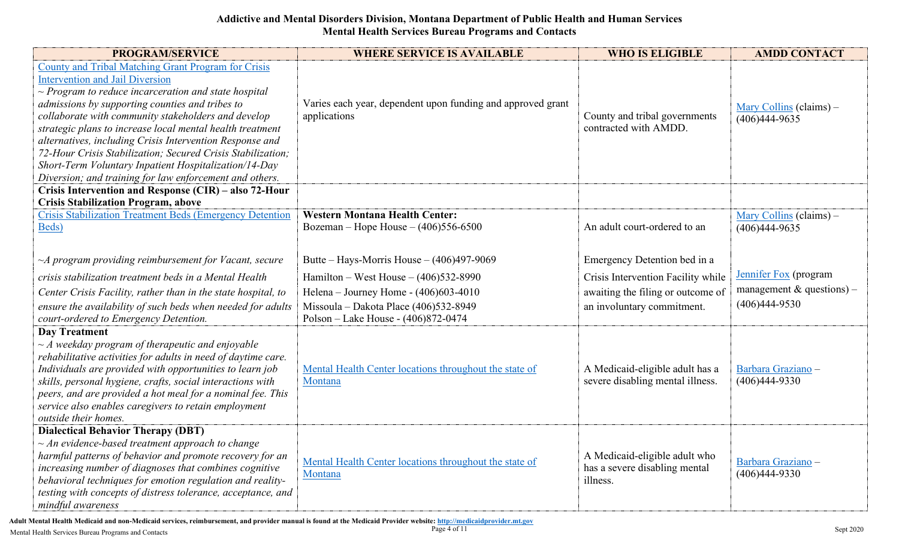| <b>PROGRAM/SERVICE</b>                                                                                                                                                                                                                                                                                                                                                                                                                                                                                                                                                           | <b>WHERE SERVICE IS AVAILABLE</b>                                               | <b>WHO IS ELIGIBLE</b>                                                     | <b>AMDD CONTACT</b>                                                        |
|----------------------------------------------------------------------------------------------------------------------------------------------------------------------------------------------------------------------------------------------------------------------------------------------------------------------------------------------------------------------------------------------------------------------------------------------------------------------------------------------------------------------------------------------------------------------------------|---------------------------------------------------------------------------------|----------------------------------------------------------------------------|----------------------------------------------------------------------------|
| County and Tribal Matching Grant Program for Crisis<br><b>Intervention and Jail Diversion</b><br>$\sim$ Program to reduce incarceration and state hospital<br>admissions by supporting counties and tribes to<br>collaborate with community stakeholders and develop<br>strategic plans to increase local mental health treatment<br>alternatives, including Crisis Intervention Response and<br>72-Hour Crisis Stabilization; Secured Crisis Stabilization;<br>Short-Term Voluntary Inpatient Hospitalization/14-Day<br>Diversion; and training for law enforcement and others. | Varies each year, dependent upon funding and approved grant<br>applications     | County and tribal governments<br>contracted with AMDD.                     | $\frac{\text{Mary Collins}}{\text{Columns}}$ (claims) –<br>$(406)444-9635$ |
| Crisis Intervention and Response (CIR) - also 72-Hour                                                                                                                                                                                                                                                                                                                                                                                                                                                                                                                            |                                                                                 |                                                                            |                                                                            |
| <b>Crisis Stabilization Program, above</b><br><b>Crisis Stabilization Treatment Beds (Emergency Detention</b><br>Beds)                                                                                                                                                                                                                                                                                                                                                                                                                                                           | <b>Western Montana Health Center:</b><br>Bozeman – Hope House – $(406)556-6500$ | An adult court-ordered to an                                               | Mary Collins (claims) $-$<br>$(406)444-9635$                               |
| $\neg A$ program providing reimbursement for Vacant, secure                                                                                                                                                                                                                                                                                                                                                                                                                                                                                                                      | Butte – Hays-Morris House – $(406)497-9069$                                     | Emergency Detention bed in a                                               |                                                                            |
| crisis stabilization treatment beds in a Mental Health                                                                                                                                                                                                                                                                                                                                                                                                                                                                                                                           | Hamilton – West House – $(406)532-8990$                                         | Crisis Intervention Facility while                                         | Jennifer Fox (program                                                      |
| Center Crisis Facility, rather than in the state hospital, to                                                                                                                                                                                                                                                                                                                                                                                                                                                                                                                    | Helena - Journey Home - (406)603-4010                                           | awaiting the filing or outcome of                                          | management & questions) –                                                  |
| ensure the availability of such beds when needed for adults<br>court-ordered to Emergency Detention.                                                                                                                                                                                                                                                                                                                                                                                                                                                                             | Missoula - Dakota Place (406)532-8949<br>Polson - Lake House - (406)872-0474    | an involuntary commitment.                                                 | $(406)444-9530$                                                            |
| <b>Day Treatment</b><br>$\sim$ A weekday program of therapeutic and enjoyable<br>rehabilitative activities for adults in need of daytime care.<br>Individuals are provided with opportunities to learn job<br>skills, personal hygiene, crafts, social interactions with<br>peers, and are provided a hot meal for a nominal fee. This<br>service also enables caregivers to retain employment<br>outside their homes.                                                                                                                                                           | Mental Health Center locations throughout the state of<br>Montana               | A Medicaid-eligible adult has a<br>severe disabling mental illness.        | Barbara Graziano -<br>$(406)444-9330$                                      |
| <b>Dialectical Behavior Therapy (DBT)</b><br>$\sim$ An evidence-based treatment approach to change<br>harmful patterns of behavior and promote recovery for an<br>increasing number of diagnoses that combines cognitive<br>behavioral techniques for emotion regulation and reality-<br>testing with concepts of distress tolerance, acceptance, and<br>mindful awareness                                                                                                                                                                                                       | Mental Health Center locations throughout the state of<br>Montana               | A Medicaid-eligible adult who<br>has a severe disabling mental<br>illness. | Barbara Graziano -<br>$(406)444-9330$                                      |

**Adult Mental Health Medicaid and non-Medicaid services, reimbursement, and provider manual is found at the Medicaid Provider website[: http://medicaidprovider.mt.gov](http://medicaidprovider.mt.gov/)<br>Mental Health Services Bureau Programs and Contacts**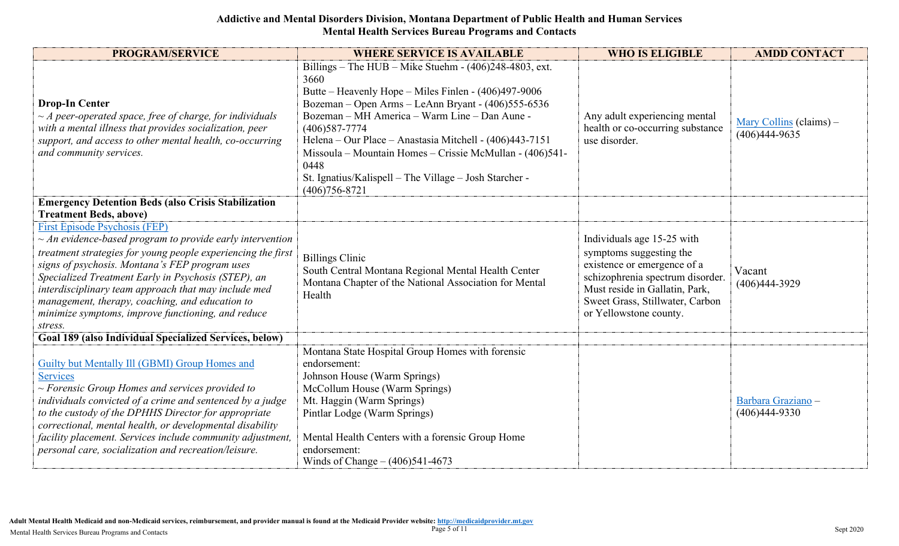| <b>PROGRAM/SERVICE</b>                                                                                                                                                                                                                                                                                                                                                                                                                                      | <b>WHERE SERVICE IS AVAILABLE</b>                                                                                                                                                                                                                                                                                                                                                                                                                                    | <b>WHO IS ELIGIBLE</b>                                                                                                                                                                                                  | <b>AMDD CONTACT</b>                          |
|-------------------------------------------------------------------------------------------------------------------------------------------------------------------------------------------------------------------------------------------------------------------------------------------------------------------------------------------------------------------------------------------------------------------------------------------------------------|----------------------------------------------------------------------------------------------------------------------------------------------------------------------------------------------------------------------------------------------------------------------------------------------------------------------------------------------------------------------------------------------------------------------------------------------------------------------|-------------------------------------------------------------------------------------------------------------------------------------------------------------------------------------------------------------------------|----------------------------------------------|
| <b>Drop-In Center</b><br>$\sim$ A peer-operated space, free of charge, for individuals<br>with a mental illness that provides socialization, peer<br>support, and access to other mental health, co-occurring<br>and community services.                                                                                                                                                                                                                    | Billings – The HUB – Mike Stuehm - $(406)248-4803$ , ext.<br>3660<br>Butte – Heavenly Hope – Miles Finlen - (406)497-9006<br>Bozeman – Open Arms – LeAnn Bryant - (406) 555-6536<br>Bozeman - MH America - Warm Line - Dan Aune -<br>$(406)587 - 7774$<br>Helena - Our Place - Anastasia Mitchell - (406)443-7151<br>Missoula – Mountain Homes – Crissie McMullan - (406)541-<br>0448<br>St. Ignatius/Kalispell - The Village - Josh Starcher -<br>$(406)756 - 8721$ | Any adult experiencing mental<br>health or co-occurring substance<br>use disorder.                                                                                                                                      | Mary Collins (claims) $-$<br>$(406)444-9635$ |
| <b>Emergency Detention Beds (also Crisis Stabilization</b><br><b>Treatment Beds, above)</b>                                                                                                                                                                                                                                                                                                                                                                 |                                                                                                                                                                                                                                                                                                                                                                                                                                                                      |                                                                                                                                                                                                                         |                                              |
| <b>First Episode Psychosis (FEP)</b><br>$\sim$ An evidence-based program to provide early intervention<br>treatment strategies for young people experiencing the first<br>signs of psychosis. Montana's FEP program uses<br>Specialized Treatment Early in Psychosis (STEP), an<br>interdisciplinary team approach that may include med<br>management, therapy, coaching, and education to<br>minimize symptoms, improve functioning, and reduce<br>stress. | <b>Billings Clinic</b><br>South Central Montana Regional Mental Health Center<br>Montana Chapter of the National Association for Mental<br>Health                                                                                                                                                                                                                                                                                                                    | Individuals age 15-25 with<br>symptoms suggesting the<br>existence or emergence of a<br>schizophrenia spectrum disorder.<br>Must reside in Gallatin, Park,<br>Sweet Grass, Stillwater, Carbon<br>or Yellowstone county. | Vacant<br>$(406)444-3929$                    |
| Goal 189 (also Individual Specialized Services, below)                                                                                                                                                                                                                                                                                                                                                                                                      |                                                                                                                                                                                                                                                                                                                                                                                                                                                                      |                                                                                                                                                                                                                         |                                              |
| Guilty but Mentally Ill (GBMI) Group Homes and<br><b>Services</b><br>$\sim$ Forensic Group Homes and services provided to<br>individuals convicted of a crime and sentenced by a judge<br>to the custody of the DPHHS Director for appropriate<br>correctional, mental health, or developmental disability<br>facility placement. Services include community adjustment,<br>personal care, socialization and recreation/leisure.                            | Montana State Hospital Group Homes with forensic<br>endorsement:<br>Johnson House (Warm Springs)<br>McCollum House (Warm Springs)<br>Mt. Haggin (Warm Springs)<br>Pintlar Lodge (Warm Springs)<br>Mental Health Centers with a forensic Group Home<br>endorsement:<br>Winds of Change $- (406)541-4673$                                                                                                                                                              |                                                                                                                                                                                                                         | Barbara Graziano -<br>$(406)444-9330$        |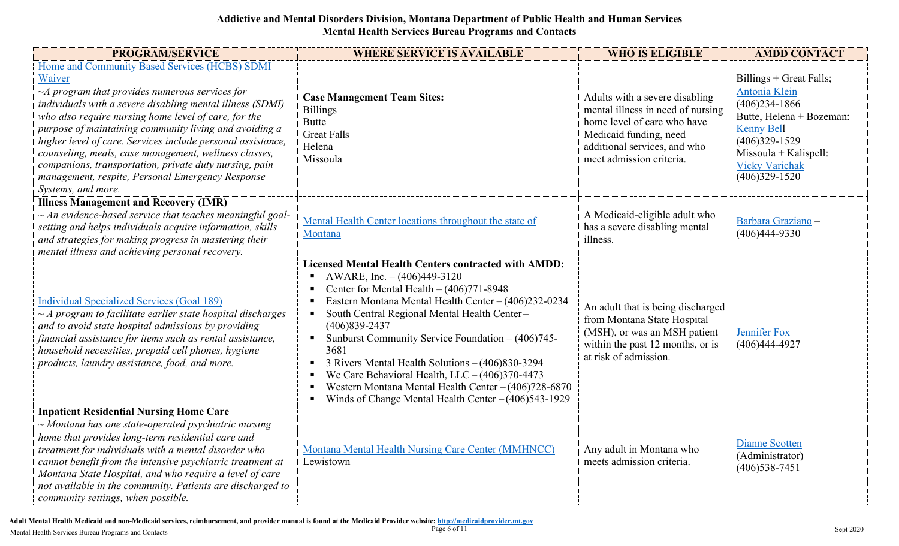| <b>PROGRAM/SERVICE</b>                                                                                                                                                                                                                                                                                                                                                                                                                                                                                                                                     | <b>WHERE SERVICE IS AVAILABLE</b>                                                                                                                                                                                                                                                                                                                                                                                                                                                                                                                                                                                                                                                              | <b>WHO IS ELIGIBLE</b>                                                                                                                                                                   | <b>AMDD CONTACT</b>                                                                                                                                                                                       |
|------------------------------------------------------------------------------------------------------------------------------------------------------------------------------------------------------------------------------------------------------------------------------------------------------------------------------------------------------------------------------------------------------------------------------------------------------------------------------------------------------------------------------------------------------------|------------------------------------------------------------------------------------------------------------------------------------------------------------------------------------------------------------------------------------------------------------------------------------------------------------------------------------------------------------------------------------------------------------------------------------------------------------------------------------------------------------------------------------------------------------------------------------------------------------------------------------------------------------------------------------------------|------------------------------------------------------------------------------------------------------------------------------------------------------------------------------------------|-----------------------------------------------------------------------------------------------------------------------------------------------------------------------------------------------------------|
| Home and Community Based Services (HCBS) SDMI<br>Waiver<br>$\neg A$ program that provides numerous services for<br>individuals with a severe disabling mental illness (SDMI)<br>who also require nursing home level of care, for the<br>purpose of maintaining community living and avoiding a<br>higher level of care. Services include personal assistance,<br>counseling, meals, case management, wellness classes,<br>companions, transportation, private duty nursing, pain<br>management, respite, Personal Emergency Response<br>Systems, and more. | <b>Case Management Team Sites:</b><br><b>Billings</b><br><b>Butte</b><br><b>Great Falls</b><br>Helena<br>Missoula                                                                                                                                                                                                                                                                                                                                                                                                                                                                                                                                                                              | Adults with a severe disabling<br>mental illness in need of nursing<br>home level of care who have<br>Medicaid funding, need<br>additional services, and who<br>meet admission criteria. | $Billings + Great Falls;$<br>Antonia Klein<br>$(406)$ 234-1866<br>Butte, Helena + Bozeman:<br><b>Kenny Bell</b><br>$(406)329-1529$<br>$Missoula + Kalispell:$<br><b>Vicky Varichak</b><br>$(406)329-1520$ |
| <b>Illness Management and Recovery (IMR)</b><br>$\sim$ An evidence-based service that teaches meaningful goal-<br>setting and helps individuals acquire information, skills<br>and strategies for making progress in mastering their<br>mental illness and achieving personal recovery.                                                                                                                                                                                                                                                                    | Mental Health Center locations throughout the state of<br>Montana                                                                                                                                                                                                                                                                                                                                                                                                                                                                                                                                                                                                                              | A Medicaid-eligible adult who<br>has a severe disabling mental<br>illness.                                                                                                               | Barbara Graziano -<br>$(406)444-9330$                                                                                                                                                                     |
| <b>Individual Specialized Services (Goal 189)</b><br>$\sim$ A program to facilitate earlier state hospital discharges<br>and to avoid state hospital admissions by providing<br>financial assistance for items such as rental assistance,<br>household necessities, prepaid cell phones, hygiene<br>products, laundry assistance, food, and more.                                                                                                                                                                                                          | <b>Licensed Mental Health Centers contracted with AMDD:</b><br>AWARE, Inc. - (406)449-3120<br>Center for Mental Health $- (406)771-8948$<br>п<br>Eastern Montana Mental Health Center - (406)232-0234<br>$\blacksquare$<br>South Central Regional Mental Health Center-<br>$\blacksquare$<br>$(406)839 - 2437$<br>Sunburst Community Service Foundation - (406)745-<br>$\blacksquare$<br>3681<br>3 Rivers Mental Health Solutions - (406)830-3294<br>$\blacksquare$<br>We Care Behavioral Health, $LLC - (406)370-4473$<br>$\blacksquare$<br>Western Montana Mental Health Center - (406)728-6870<br>$\blacksquare$<br>Winds of Change Mental Health Center $-(406)543-1929$<br>$\blacksquare$ | An adult that is being discharged<br>from Montana State Hospital<br>(MSH), or was an MSH patient<br>within the past 12 months, or is<br>at risk of admission.                            | Jennifer Fox<br>$(406)444-4927$                                                                                                                                                                           |
| <b>Inpatient Residential Nursing Home Care</b><br>$\sim$ Montana has one state-operated psychiatric nursing<br>home that provides long-term residential care and<br>treatment for individuals with a mental disorder who<br>cannot benefit from the intensive psychiatric treatment at<br>Montana State Hospital, and who require a level of care<br>not available in the community. Patients are discharged to<br>community settings, when possible.                                                                                                      | Montana Mental Health Nursing Care Center (MMHNCC)<br>Lewistown                                                                                                                                                                                                                                                                                                                                                                                                                                                                                                                                                                                                                                | Any adult in Montana who<br>meets admission criteria.                                                                                                                                    | <b>Dianne Scotten</b><br>(Administrator)<br>$(406)$ 538-7451                                                                                                                                              |

Adult Mental Health Medicaid and non-Medicaid services, reimbursement, and provider manual is found at the Medicaid Provider website[: http://medicaidprovider.mt.gov](http://medicaidprovider.mt.gov/)<br>Nental Health Services Bureau Programs and Contacts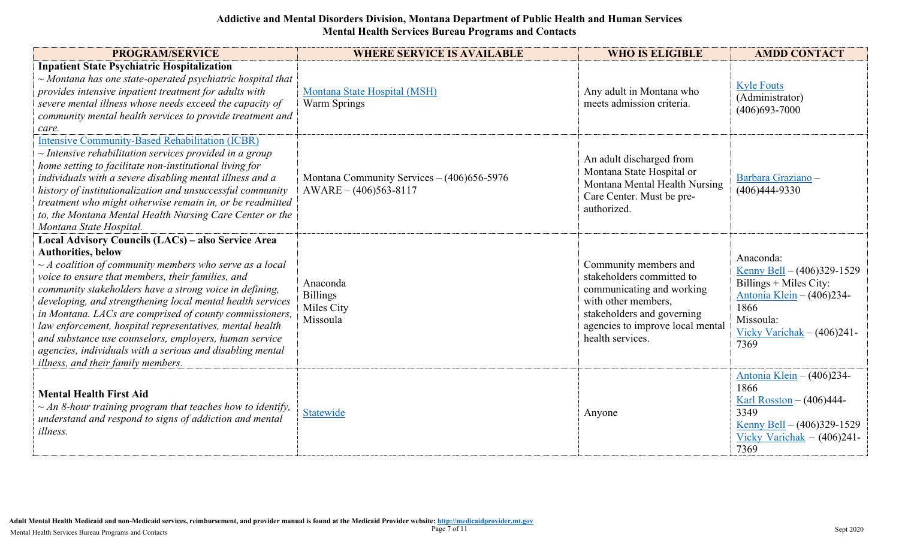| <b>PROGRAM/SERVICE</b>                                                                                                                                                                                                                                                                                                                                                                                                                                                                                                                                                                                             | <b>WHERE SERVICE IS AVAILABLE</b>                                         | <b>WHO IS ELIGIBLE</b>                                                                                                                                                                       | <b>AMDD CONTACT</b>                                                                                                                                              |
|--------------------------------------------------------------------------------------------------------------------------------------------------------------------------------------------------------------------------------------------------------------------------------------------------------------------------------------------------------------------------------------------------------------------------------------------------------------------------------------------------------------------------------------------------------------------------------------------------------------------|---------------------------------------------------------------------------|----------------------------------------------------------------------------------------------------------------------------------------------------------------------------------------------|------------------------------------------------------------------------------------------------------------------------------------------------------------------|
| <b>Inpatient State Psychiatric Hospitalization</b><br>$\sim$ Montana has one state-operated psychiatric hospital that<br>provides intensive inpatient treatment for adults with<br>severe mental illness whose needs exceed the capacity of<br>community mental health services to provide treatment and<br>care.                                                                                                                                                                                                                                                                                                  | Montana State Hospital (MSH)<br>Warm Springs                              | Any adult in Montana who<br>meets admission criteria.                                                                                                                                        | <b>Kyle Fouts</b><br>(Administrator)<br>$(406)693 - 7000$                                                                                                        |
| <b>Intensive Community-Based Rehabilitation (ICBR)</b><br>$\sim$ Intensive rehabilitation services provided in a group<br>home setting to facilitate non-institutional living for<br>individuals with a severe disabling mental illness and a<br>history of institutionalization and unsuccessful community<br>treatment who might otherwise remain in, or be readmitted<br>to, the Montana Mental Health Nursing Care Center or the<br>Montana State Hospital.                                                                                                                                                    | Montana Community Services $- (406)656 - 5976$<br>$AWARE - (406)563-8117$ | An adult discharged from<br>Montana State Hospital or<br>Montana Mental Health Nursing<br>Care Center. Must be pre-<br>authorized.                                                           | Barbara Graziano -<br>$(406)444-9330$                                                                                                                            |
| Local Advisory Councils (LACs) - also Service Area<br><b>Authorities</b> , below<br>$\sim$ A coalition of community members who serve as a local<br>voice to ensure that members, their families, and<br>community stakeholders have a strong voice in defining,<br>developing, and strengthening local mental health services<br>in Montana. LACs are comprised of county commissioners,<br>law enforcement, hospital representatives, mental health<br>and substance use counselors, employers, human service<br>agencies, individuals with a serious and disabling mental<br>illness, and their family members. | Anaconda<br><b>Billings</b><br>Miles City<br>Missoula                     | Community members and<br>stakeholders committed to<br>communicating and working<br>with other members,<br>stakeholders and governing<br>agencies to improve local mental<br>health services. | Anaconda:<br>Kenny Bell $- (406)329-1529$<br>Billings $+$ Miles City:<br>Antonia Klein - (406)234-<br>1866<br>Missoula:<br>Vicky Varichak $- (406)241$ -<br>7369 |
| <b>Mental Health First Aid</b><br>$\sim$ An 8-hour training program that teaches how to identify,<br>understand and respond to signs of addiction and mental<br><i>illness.</i>                                                                                                                                                                                                                                                                                                                                                                                                                                    | Statewide                                                                 | Anyone                                                                                                                                                                                       | Antonia Klein - (406)234-<br>1866<br>Karl Rosston $- (406)444$ -<br>3349<br>Kenny Bell $- (406)329-1529$<br>Vicky Varichak $-$ (406)241-<br>7369                 |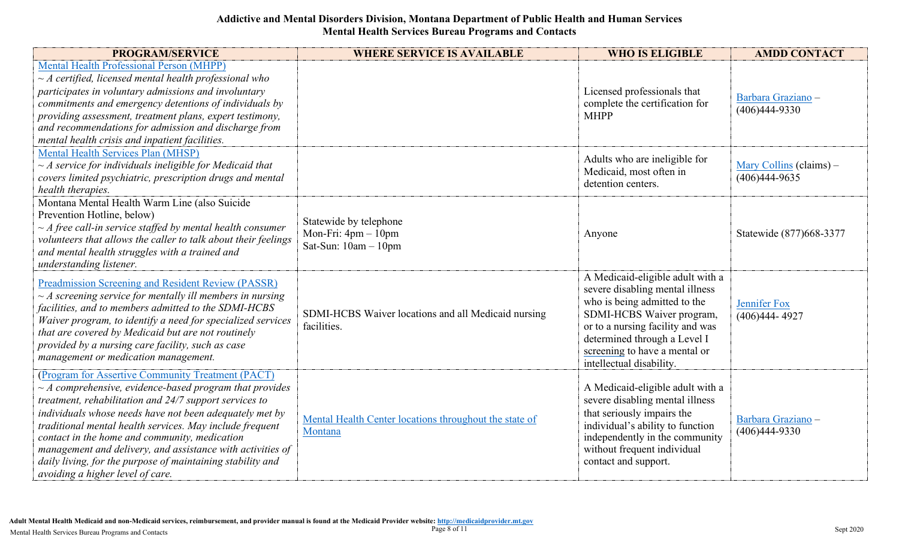| <b>PROGRAM/SERVICE</b>                                                                                                                                                                                                                                                                                                                                                                                                                                                                                              | <b>WHERE SERVICE IS AVAILABLE</b>                                       | <b>WHO IS ELIGIBLE</b>                                                                                                                                                                                                                                            | <b>AMDD CONTACT</b>                        |
|---------------------------------------------------------------------------------------------------------------------------------------------------------------------------------------------------------------------------------------------------------------------------------------------------------------------------------------------------------------------------------------------------------------------------------------------------------------------------------------------------------------------|-------------------------------------------------------------------------|-------------------------------------------------------------------------------------------------------------------------------------------------------------------------------------------------------------------------------------------------------------------|--------------------------------------------|
| <b>Mental Health Professional Person (MHPP)</b><br>$\sim$ A certified, licensed mental health professional who<br>participates in voluntary admissions and involuntary<br>commitments and emergency detentions of individuals by<br>providing assessment, treatment plans, expert testimony,<br>and recommendations for admission and discharge from<br>mental health crisis and inpatient facilities.                                                                                                              |                                                                         | Licensed professionals that<br>complete the certification for<br><b>MHPP</b>                                                                                                                                                                                      | Barbara Graziano -<br>$(406)444-9330$      |
| Mental Health Services Plan (MHSP)<br>$\sim$ A service for individuals ineligible for Medicaid that<br>covers limited psychiatric, prescription drugs and mental<br>health therapies.                                                                                                                                                                                                                                                                                                                               |                                                                         | Adults who are ineligible for<br>Medicaid, most often in<br>detention centers.                                                                                                                                                                                    | Mary Collins (claims) -<br>$(406)444-9635$ |
| Montana Mental Health Warm Line (also Suicide<br>Prevention Hotline, below)<br>$\sim$ A free call-in service staffed by mental health consumer<br>volunteers that allows the caller to talk about their feelings<br>and mental health struggles with a trained and<br>understanding listener.                                                                                                                                                                                                                       | Statewide by telephone<br>Mon-Fri: 4pm - 10pm<br>Sat-Sun: $10am - 10pm$ | Anyone                                                                                                                                                                                                                                                            | Statewide (877)668-3377                    |
| <b>Preadmission Screening and Resident Review (PASSR)</b><br>$\sim$ A screening service for mentally ill members in nursing<br>facilities, and to members admitted to the SDMI-HCBS<br>Waiver program, to identify a need for specialized services<br>that are covered by Medicaid but are not routinely<br>provided by a nursing care facility, such as case<br>management or medication management.                                                                                                               | SDMI-HCBS Waiver locations and all Medicaid nursing<br>facilities.      | A Medicaid-eligible adult with a<br>severe disabling mental illness<br>who is being admitted to the<br>SDMI-HCBS Waiver program,<br>or to a nursing facility and was<br>determined through a Level I<br>screening to have a mental or<br>intellectual disability. | Jennifer Fox<br>$(406)444 - 4927$          |
| (Program for Assertive Community Treatment (PACT)<br>$\sim$ A comprehensive, evidence-based program that provides<br>treatment, rehabilitation and 24/7 support services to<br>individuals whose needs have not been adequately met by<br>traditional mental health services. May include frequent<br>contact in the home and community, medication<br>management and delivery, and assistance with activities of<br>daily living, for the purpose of maintaining stability and<br>avoiding a higher level of care. | Mental Health Center locations throughout the state of<br>Montana       | A Medicaid-eligible adult with a<br>severe disabling mental illness<br>that seriously impairs the<br>individual's ability to function<br>independently in the community<br>without frequent individual<br>contact and support.                                    | Barbara Graziano -<br>$(406)444-9330$      |

**Adult Mental Health Medicaid and non-Medicaid services, reimbursement, and provider manual is found at the Medicaid Provider website[: http://medicaidprovider.mt.gov](http://medicaidprovider.mt.gov/)<br>Mental Health Services Bureau Programs and Contacts**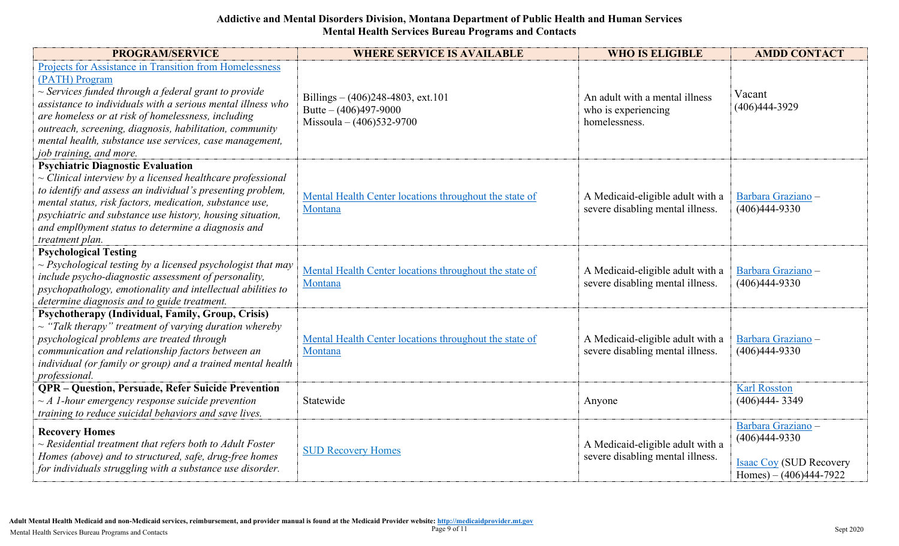| <b>PROGRAM/SERVICE</b>                                                                                                                                                                                                                                                                                                                                                                                              | <b>WHERE SERVICE IS AVAILABLE</b>                                                             | <b>WHO IS ELIGIBLE</b>                                                 | <b>AMDD CONTACT</b>                                                                                 |
|---------------------------------------------------------------------------------------------------------------------------------------------------------------------------------------------------------------------------------------------------------------------------------------------------------------------------------------------------------------------------------------------------------------------|-----------------------------------------------------------------------------------------------|------------------------------------------------------------------------|-----------------------------------------------------------------------------------------------------|
| <b>Projects for Assistance in Transition from Homelessness</b><br>(PATH) Program<br>$\sim$ Services funded through a federal grant to provide<br>assistance to individuals with a serious mental illness who<br>are homeless or at risk of homelessness, including<br>outreach, screening, diagnosis, habilitation, community<br>mental health, substance use services, case management,<br>job training, and more. | Billings $- (406)248-4803$ , ext.101<br>Butte $- (406)497-9000$<br>Missoula – $(406)532-9700$ | An adult with a mental illness<br>who is experiencing<br>homelessness. | Vacant<br>$(406)444-3929$                                                                           |
| <b>Psychiatric Diagnostic Evaluation</b><br>$\sim$ Clinical interview by a licensed healthcare professional<br>to identify and assess an individual's presenting problem,<br>mental status, risk factors, medication, substance use,<br>psychiatric and substance use history, housing situation,<br>and empl0yment status to determine a diagnosis and<br>treatment plan.                                          | Mental Health Center locations throughout the state of<br>Montana                             | A Medicaid-eligible adult with a<br>severe disabling mental illness.   | Barbara Graziano -<br>$(406)444-9330$                                                               |
| <b>Psychological Testing</b><br>$\sim$ Psychological testing by a licensed psychologist that may<br>include psycho-diagnostic assessment of personality,<br>psychopathology, emotionality and intellectual abilities to<br>determine diagnosis and to guide treatment.                                                                                                                                              | Mental Health Center locations throughout the state of<br>Montana                             | A Medicaid-eligible adult with a<br>severe disabling mental illness.   | Barbara Graziano -<br>$(406)444-9330$                                                               |
| Psychotherapy (Individual, Family, Group, Crisis)<br>$\sim$ "Talk therapy" treatment of varying duration whereby<br>psychological problems are treated through<br>communication and relationship factors between an<br>individual (or family or group) and a trained mental health<br>professional.                                                                                                                 | Mental Health Center locations throughout the state of<br>Montana                             | A Medicaid-eligible adult with a<br>severe disabling mental illness.   | Barbara Graziano -<br>$(406)444-9330$                                                               |
| <b>QPR - Question, Persuade, Refer Suicide Prevention</b><br>$\sim$ A 1-hour emergency response suicide prevention<br>training to reduce suicidal behaviors and save lives.                                                                                                                                                                                                                                         | Statewide                                                                                     | Anyone                                                                 | <b>Karl Rosston</b><br>$(406)444 - 3349$                                                            |
| <b>Recovery Homes</b><br>$\sim$ Residential treatment that refers both to Adult Foster<br>Homes (above) and to structured, safe, drug-free homes<br>for individuals struggling with a substance use disorder.                                                                                                                                                                                                       | <b>SUD Recovery Homes</b>                                                                     | A Medicaid-eligible adult with a<br>severe disabling mental illness.   | Barbara Graziano -<br>$(406)444-9330$<br><b>Isaac Coy (SUD Recovery</b><br>Homes) $- (406)444-7922$ |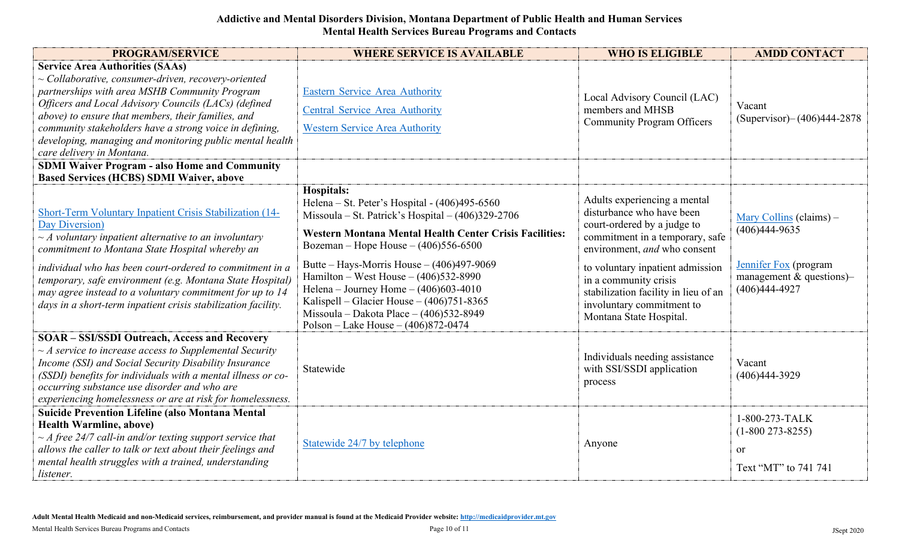| <b>PROGRAM/SERVICE</b>                                                                                                                                                                                                                                                                                                                                                                                                                            | <b>WHERE SERVICE IS AVAILABLE</b>                                                                                                                                                                                                                                                                                                                                                                                                                                                                                   | <b>WHO IS ELIGIBLE</b>                                                                                                                                                                                                                                                                                                   | <b>AMDD CONTACT</b>                                                                                                  |
|---------------------------------------------------------------------------------------------------------------------------------------------------------------------------------------------------------------------------------------------------------------------------------------------------------------------------------------------------------------------------------------------------------------------------------------------------|---------------------------------------------------------------------------------------------------------------------------------------------------------------------------------------------------------------------------------------------------------------------------------------------------------------------------------------------------------------------------------------------------------------------------------------------------------------------------------------------------------------------|--------------------------------------------------------------------------------------------------------------------------------------------------------------------------------------------------------------------------------------------------------------------------------------------------------------------------|----------------------------------------------------------------------------------------------------------------------|
| <b>Service Area Authorities (SAAs)</b><br>$\sim$ Collaborative, consumer-driven, recovery-oriented<br>partnerships with area MSHB Community Program<br>Officers and Local Advisory Councils (LACs) (defined<br>above) to ensure that members, their families, and<br>community stakeholders have a strong voice in defining,<br>developing, managing and monitoring public mental health<br>care delivery in Montana.                             | <b>Eastern Service Area Authority</b><br><b>Central Service Area Authority</b><br><b>Western Service Area Authority</b>                                                                                                                                                                                                                                                                                                                                                                                             | Local Advisory Council (LAC)<br>members and MHSB<br><b>Community Program Officers</b>                                                                                                                                                                                                                                    | Vacant<br>$(Supervisor) - (406)444-2878$                                                                             |
| <b>SDMI Waiver Program - also Home and Community</b><br><b>Based Services (HCBS) SDMI Waiver, above</b>                                                                                                                                                                                                                                                                                                                                           |                                                                                                                                                                                                                                                                                                                                                                                                                                                                                                                     |                                                                                                                                                                                                                                                                                                                          |                                                                                                                      |
| Short-Term Voluntary Inpatient Crisis Stabilization (14-<br>Day Diversion)<br>$\sim$ A voluntary inpatient alternative to an involuntary<br>commitment to Montana State Hospital whereby an<br>individual who has been court-ordered to commitment in a<br>temporary, safe environment (e.g. Montana State Hospital)<br>may agree instead to a voluntary commitment for up to 14<br>days in a short-term inpatient crisis stabilization facility. | <b>Hospitals:</b><br>Helena - St. Peter's Hospital - (406)495-6560<br>Missoula – St. Patrick's Hospital – $(406)329-2706$<br><b>Western Montana Mental Health Center Crisis Facilities:</b><br>Bozeman – Hope House – $(406)556-6500$<br>Butte – Hays-Morris House – $(406)497-9069$<br>Hamilton – West House – $(406)532-8990$<br>Helena – Journey Home – $(406)603-4010$<br>Kalispell – Glacier House – $(406)751-8365$<br>Missoula - Dakota Place $- (406)532 - 8949$<br>Polson – Lake House – $(406)872 - 0474$ | Adults experiencing a mental<br>disturbance who have been<br>court-ordered by a judge to<br>commitment in a temporary, safe<br>environment, and who consent<br>to voluntary inpatient admission<br>in a community crisis<br>stabilization facility in lieu of an<br>involuntary commitment to<br>Montana State Hospital. | Mary Collins (claims) –<br>$(406)444-9635$<br>Jennifer Fox (program<br>management $&$ questions)-<br>$(406)444-4927$ |
| <b>SOAR - SSI/SSDI Outreach, Access and Recovery</b><br>$\sim$ A service to increase access to Supplemental Security<br>Income (SSI) and Social Security Disability Insurance<br>(SSDI) benefits for individuals with a mental illness or co-<br>occurring substance use disorder and who are<br>experiencing homelessness or are at risk for homelessness.                                                                                       | Statewide                                                                                                                                                                                                                                                                                                                                                                                                                                                                                                           | Individuals needing assistance<br>with SSI/SSDI application<br>process                                                                                                                                                                                                                                                   | Vacant<br>$(406)444-3929$                                                                                            |
| <b>Suicide Prevention Lifeline (also Montana Mental</b><br><b>Health Warmline, above)</b><br>$\sim$ A free 24/7 call-in and/or texting support service that<br>allows the caller to talk or text about their feelings and<br>mental health struggles with a trained, understanding<br>listener.                                                                                                                                                   | Statewide 24/7 by telephone                                                                                                                                                                                                                                                                                                                                                                                                                                                                                         | Anyone                                                                                                                                                                                                                                                                                                                   | 1-800-273-TALK<br>$(1-800273-8255)$<br><sub>or</sub><br>Text "MT" to 741 741                                         |

**Adult Mental Health Medicaid and non-Medicaid services, reimbursement, and provider manual is found at the Medicaid Provider website[: http://medicaidprovider.mt.gov](http://medicaidprovider.mt.gov/)**